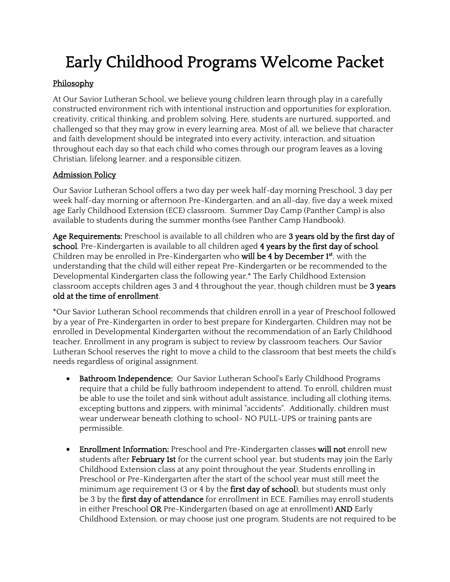# Early Childhood Programs Welcome Packet

# Philosophy

At Our Savior Lutheran School, we believe young children learn through play in a carefully constructed environment rich with intentional instruction and opportunities for exploration, creativity, critical thinking, and problem solving. Here, students are nurtured, supported, and challenged so that they may grow in every learning area. Most of all, we believe that character and faith development should be integrated into every activity, interaction, and situation throughout each day so that each child who comes through our program leaves as a loving Christian, lifelong learner, and a responsible citizen.

# Admission Policy

Our Savior Lutheran School offers a two day per week half-day morning Preschool, 3 day per week half-day morning or afternoon Pre-Kindergarten, and an all-day, five day a week mixed age Early Childhood Extension (ECE) classroom. Summer Day Camp (Panther Camp) is also available to students during the summer months (see Panther Camp Handbook).

Age Requirements: Preschool is available to all children who are 3 years old by the first day of school. Pre-Kindergarten is available to all children aged 4 years by the first day of school. Children may be enrolled in Pre-Kindergarten who **will be 4 by December 1<sup>st</sup>**, with the understanding that the child will either repeat Pre-Kindergarten or be recommended to the Developmental Kindergarten class the following year.\* The Early Childhood Extension classroom accepts children ages 3 and 4 throughout the year, though children must be 3 years old at the time of enrollment.

\*Our Savior Lutheran School recommends that children enroll in a year of Preschool followed by a year of Pre-Kindergarten in order to best prepare for Kindergarten. Children may not be enrolled in Developmental Kindergarten without the recommendation of an Early Childhood teacher. Enrollment in any program is subject to review by classroom teachers. Our Savior Lutheran School reserves the right to move a child to the classroom that best meets the child's needs regardless of original assignment.

- Bathroom Independence: Our Savior Lutheran School's Early Childhood Programs require that a child be fully bathroom independent to attend. To enroll, children must be able to use the toilet and sink without adult assistance, including all clothing items, excepting buttons and zippers, with minimal "accidents". Additionally, children must wear underwear beneath clothing to school- NO PULL-UPS or training pants are permissible.
- Enrollment Information: Preschool and Pre-Kindergarten classes will not enroll new students after **February 1st** for the current school year, but students may join the Early Childhood Extension class at any point throughout the year. Students enrolling in Preschool or Pre-Kindergarten after the start of the school year must still meet the minimum age requirement (3 or 4 by the first day of school), but students must only be 3 by the first day of attendance for enrollment in ECE. Families may enroll students in either Preschool OR Pre-Kindergarten (based on age at enrollment) AND Early Childhood Extension, or may choose just one program. Students are not required to be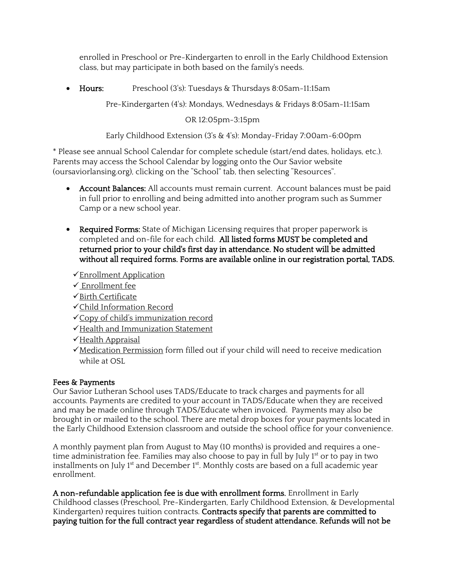enrolled in Preschool or Pre-Kindergarten to enroll in the Early Childhood Extension class, but may participate in both based on the family's needs.

• Hours: Preschool (3's): Tuesdays & Thursdays 8:05am-11:15am

Pre-Kindergarten (4's): Mondays, Wednesdays & Fridays 8:05am-11:15am

## OR 12:05pm-3:15pm

Early Childhood Extension (3's & 4's): Monday-Friday 7:00am-6:00pm

\* Please see annual School Calendar for complete schedule (start/end dates, holidays, etc.). Parents may access the School Calendar by logging onto the Our Savior website (oursaviorlansing.org), clicking on the "School" tab, then selecting "Resources".

- Account Balances: All accounts must remain current. Account balances must be paid in full prior to enrolling and being admitted into another program such as Summer Camp or a new school year.
- Required Forms: State of Michigan Licensing requires that proper paperwork is completed and on-file for each child. All listed forms MUST be completed and returned prior to your child's first day in attendance. No student will be admitted without all required forms. Forms are available online in our registration portal, TADS.
	- Enrollment Application
	- $\checkmark$  Enrollment fee
	- $\checkmark$  Birth Certificate
	- Child Information Record
	- Copy of child's immunization record
	- √Health and Immunization Statement
	- √Health Appraisal
	- $\checkmark$  Medication Permission form filled out if your child will need to receive medication while at OSL

# Fees & Payments

Our Savior Lutheran School uses TADS/Educate to track charges and payments for all accounts. Payments are credited to your account in TADS/Educate when they are received and may be made online through TADS/Educate when invoiced. Payments may also be brought in or mailed to the school. There are metal drop boxes for your payments located in the Early Childhood Extension classroom and outside the school office for your convenience.

A monthly payment plan from August to May (10 months) is provided and requires a onetime administration fee. Families may also choose to pay in full by July 1<sup>st</sup> or to pay in two installments on July 1<sup>st</sup> and December 1<sup>st</sup>. Monthly costs are based on a full academic year enrollment.

A non-refundable application fee is due with enrollment forms. Enrollment in Early Childhood classes (Preschool, Pre-Kindergarten, Early Childhood Extension, & Developmental Kindergarten) requires tuition contracts. Contracts specify that parents are committed to paying tuition for the full contract year regardless of student attendance. Refunds will not be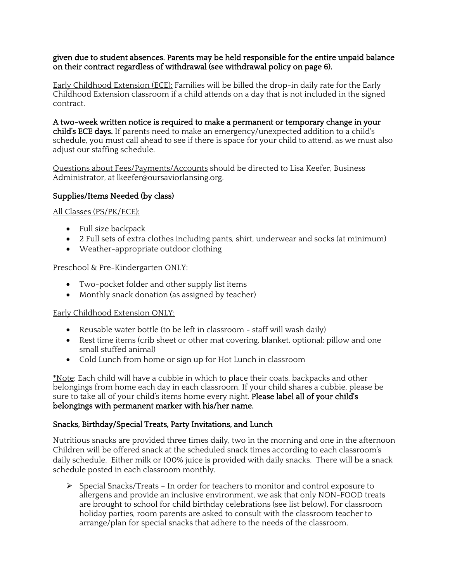#### given due to student absences. Parents may be held responsible for the entire unpaid balance on their contract regardless of withdrawal (see withdrawal policy on page 6).

Early Childhood Extension (ECE): Families will be billed the drop-in daily rate for the Early Childhood Extension classroom if a child attends on a day that is not included in the signed contract.

A two-week written notice is required to make a permanent or temporary change in your child's ECE days. If parents need to make an emergency/unexpected addition to a child's schedule, you must call ahead to see if there is space for your child to attend, as we must also adjust our staffing schedule.

Questions about Fees/Payments/Accounts should be directed to Lisa Keefer, Business Administrator, at lkeefer@oursaviorlansing.org.

#### Supplies/Items Needed (by class)

All Classes (PS/PK/ECE):

- Full size backpack
- 2 Full sets of extra clothes including pants, shirt, underwear and socks (at minimum)
- Weather-appropriate outdoor clothing

#### Preschool & Pre-Kindergarten ONLY:

- Two-pocket folder and other supply list items
- Monthly snack donation (as assigned by teacher)

#### Early Childhood Extension ONLY:

- Reusable water bottle (to be left in classroom staff will wash daily)
- Rest time items (crib sheet or other mat covering, blanket, optional: pillow and one small stuffed animal)
- Cold Lunch from home or sign up for Hot Lunch in classroom

\*Note: Each child will have a cubbie in which to place their coats, backpacks and other belongings from home each day in each classroom. If your child shares a cubbie, please be sure to take all of your child's items home every night. Please label all of your child's belongings with permanent marker with his/her name.

#### Snacks, Birthday/Special Treats, Party Invitations, and Lunch

Nutritious snacks are provided three times daily, two in the morning and one in the afternoon Children will be offered snack at the scheduled snack times according to each classroom's daily schedule. Either milk or 100% juice is provided with daily snacks. There will be a snack schedule posted in each classroom monthly.

 $\triangleright$  Special Snacks/Treats - In order for teachers to monitor and control exposure to allergens and provide an inclusive environment, we ask that only NON-FOOD treats are brought to school for child birthday celebrations (see list below). For classroom holiday parties, room parents are asked to consult with the classroom teacher to arrange/plan for special snacks that adhere to the needs of the classroom.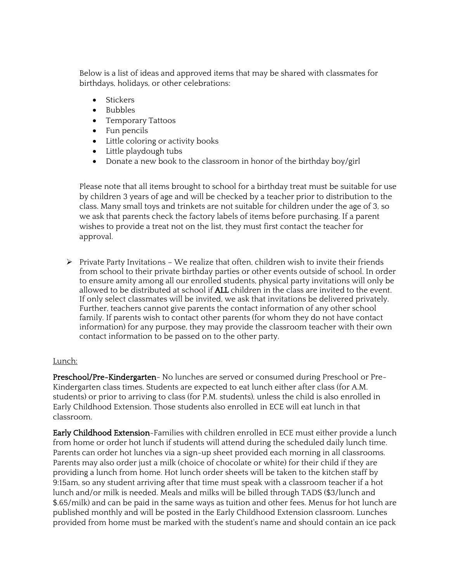Below is a list of ideas and approved items that may be shared with classmates for birthdays, holidays, or other celebrations:

- Stickers
- Bubbles
- Temporary Tattoos
- Fun pencils
- Little coloring or activity books
- Little playdough tubs
- Donate a new book to the classroom in honor of the birthday boy/girl

Please note that all items brought to school for a birthday treat must be suitable for use by children 3 years of age and will be checked by a teacher prior to distribution to the class. Many small toys and trinkets are not suitable for children under the age of 3, so we ask that parents check the factory labels of items before purchasing. If a parent wishes to provide a treat not on the list, they must first contact the teacher for approval.

 $\triangleright$  Private Party Invitations – We realize that often, children wish to invite their friends from school to their private birthday parties or other events outside of school. In order to ensure amity among all our enrolled students, physical party invitations will only be allowed to be distributed at school if ALL children in the class are invited to the event. If only select classmates will be invited, we ask that invitations be delivered privately. Further, teachers cannot give parents the contact information of any other school family. If parents wish to contact other parents (for whom they do not have contact information) for any purpose, they may provide the classroom teacher with their own contact information to be passed on to the other party.

## Lunch:

Preschool/Pre-Kindergarten- No lunches are served or consumed during Preschool or Pre-Kindergarten class times. Students are expected to eat lunch either after class (for A.M. students) or prior to arriving to class (for P.M. students), unless the child is also enrolled in Early Childhood Extension. Those students also enrolled in ECE will eat lunch in that classroom.

Early Childhood Extension-Families with children enrolled in ECE must either provide a lunch from home or order hot lunch if students will attend during the scheduled daily lunch time. Parents can order hot lunches via a sign-up sheet provided each morning in all classrooms. Parents may also order just a milk (choice of chocolate or white) for their child if they are providing a lunch from home. Hot lunch order sheets will be taken to the kitchen staff by 9:15am, so any student arriving after that time must speak with a classroom teacher if a hot lunch and/or milk is needed. Meals and milks will be billed through TADS (\$3/lunch and \$.65/milk) and can be paid in the same ways as tuition and other fees. Menus for hot lunch are published monthly and will be posted in the Early Childhood Extension classroom. Lunches provided from home must be marked with the student's name and should contain an ice pack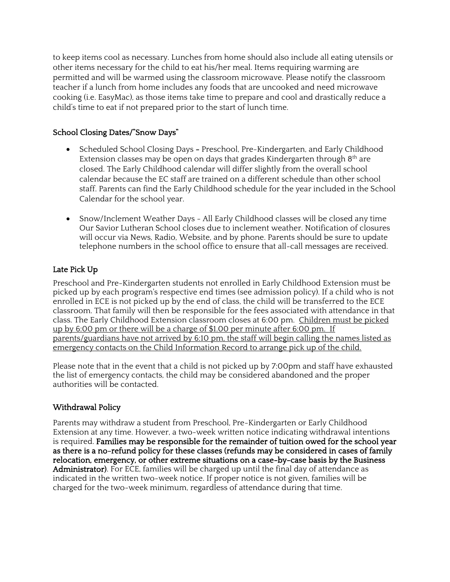to keep items cool as necessary. Lunches from home should also include all eating utensils or other items necessary for the child to eat his/her meal. Items requiring warming are permitted and will be warmed using the classroom microwave. Please notify the classroom teacher if a lunch from home includes any foods that are uncooked and need microwave cooking (i.e. EasyMac), as those items take time to prepare and cool and drastically reduce a child's time to eat if not prepared prior to the start of lunch time.

## School Closing Dates/"Snow Days"

- Scheduled School Closing Days Preschool, Pre-Kindergarten, and Early Childhood Extension classes may be open on days that grades Kindergarten through  $8<sup>th</sup>$  are closed. The Early Childhood calendar will differ slightly from the overall school calendar because the EC staff are trained on a different schedule than other school staff. Parents can find the Early Childhood schedule for the year included in the School Calendar for the school year.
- Snow/Inclement Weather Days All Early Childhood classes will be closed any time Our Savior Lutheran School closes due to inclement weather. Notification of closures will occur via News, Radio, Website, and by phone. Parents should be sure to update telephone numbers in the school office to ensure that all-call messages are received.

## Late Pick Up

Preschool and Pre-Kindergarten students not enrolled in Early Childhood Extension must be picked up by each program's respective end times (see admission policy). If a child who is not enrolled in ECE is not picked up by the end of class, the child will be transferred to the ECE classroom. That family will then be responsible for the fees associated with attendance in that class. The Early Childhood Extension classroom closes at 6:00 pm. Children must be picked up by 6:00 pm or there will be a charge of \$1.00 per minute after 6:00 pm. If parents/guardians have not arrived by 6:10 pm, the staff will begin calling the names listed as emergency contacts on the Child Information Record to arrange pick up of the child.

Please note that in the event that a child is not picked up by 7:00pm and staff have exhausted the list of emergency contacts, the child may be considered abandoned and the proper authorities will be contacted.

## Withdrawal Policy

Parents may withdraw a student from Preschool, Pre-Kindergarten or Early Childhood Extension at any time. However, a two-week written notice indicating withdrawal intentions is required. Families may be responsible for the remainder of tuition owed for the school year as there is a no-refund policy for these classes (refunds may be considered in cases of family relocation, emergency, or other extreme situations on a case-by-case basis by the Business Administrator). For ECE, families will be charged up until the final day of attendance as indicated in the written two-week notice. If proper notice is not given, families will be charged for the two-week minimum, regardless of attendance during that time.